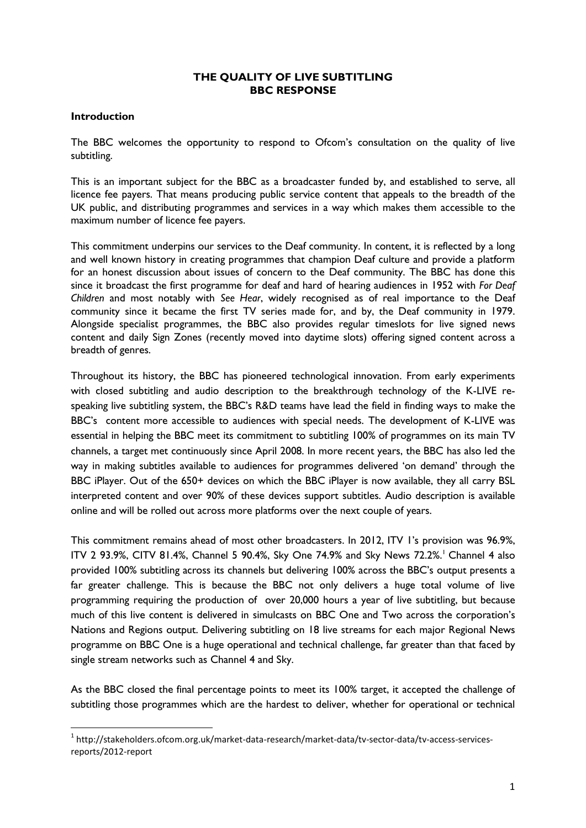### **THE QUALITY OF LIVE SUBTITLING BBC RESPONSE**

### **Introduction**

1

The BBC welcomes the opportunity to respond to Ofcom's consultation on the quality of live subtitling.

This is an important subject for the BBC as a broadcaster funded by, and established to serve, all licence fee payers. That means producing public service content that appeals to the breadth of the UK public, and distributing programmes and services in a way which makes them accessible to the maximum number of licence fee payers.

This commitment underpins our services to the Deaf community. In content, it is reflected by a long and well known history in creating programmes that champion Deaf culture and provide a platform for an honest discussion about issues of concern to the Deaf community. The BBC has done this since it broadcast the first programme for deaf and hard of hearing audiences in 1952 with *For Deaf Children* and most notably with *See Hear*, widely recognised as of real importance to the Deaf community since it became the first TV series made for, and by, the Deaf community in 1979. Alongside specialist programmes, the BBC also provides regular timeslots for live signed news content and daily Sign Zones (recently moved into daytime slots) offering signed content across a breadth of genres.

Throughout its history, the BBC has pioneered technological innovation. From early experiments with closed subtitling and audio description to the breakthrough technology of the K-LIVE respeaking live subtitling system, the BBC's R&D teams have lead the field in finding ways to make the BBC's content more accessible to audiences with special needs. The development of K-LIVE was essential in helping the BBC meet its commitment to subtitling 100% of programmes on its main TV channels, a target met continuously since April 2008. In more recent years, the BBC has also led the way in making subtitles available to audiences for programmes delivered 'on demand' through the BBC iPlayer. Out of the 650+ devices on which the BBC iPlayer is now available, they all carry BSL interpreted content and over 90% of these devices support subtitles. Audio description is available online and will be rolled out across more platforms over the next couple of years.

This commitment remains ahead of most other broadcasters. In 2012, ITV 1's provision was 96.9%, ITV 2 93.9%, CITV 81.4%, Channel 5 90.4%, Sky One 74.9% and Sky News 72.2%.<sup>1</sup> Channel 4 also provided 100% subtitling across its channels but delivering 100% across the BBC's output presents a far greater challenge. This is because the BBC not only delivers a huge total volume of live programming requiring the production of over 20,000 hours a year of live subtitling, but because much of this live content is delivered in simulcasts on BBC One and Two across the corporation's Nations and Regions output. Delivering subtitling on 18 live streams for each major Regional News programme on BBC One is a huge operational and technical challenge, far greater than that faced by single stream networks such as Channel 4 and Sky.

As the BBC closed the final percentage points to meet its 100% target, it accepted the challenge of subtitling those programmes which are the hardest to deliver, whether for operational or technical

<sup>1</sup> http://stakeholders.ofcom.org.uk/market-data-research/market-data/tv-sector-data/tv-access-servicesreports/2012-report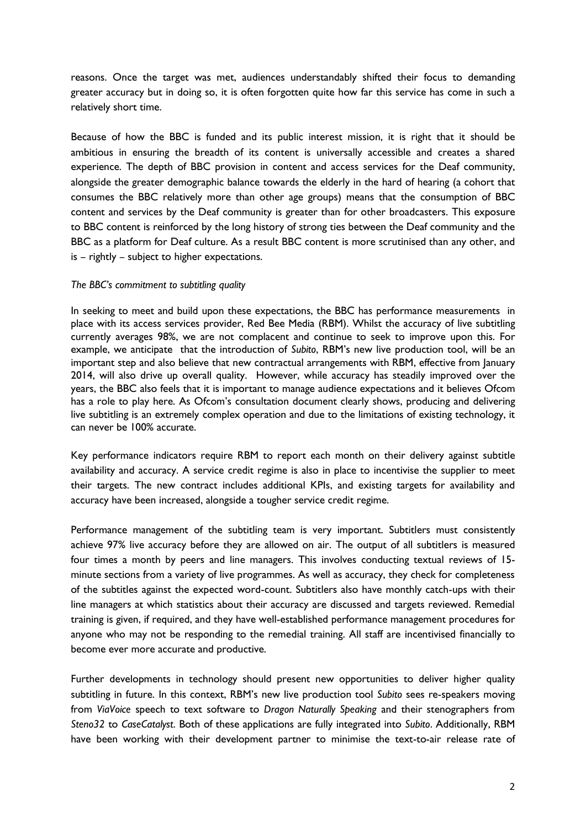reasons. Once the target was met, audiences understandably shifted their focus to demanding greater accuracy but in doing so, it is often forgotten quite how far this service has come in such a relatively short time.

Because of how the BBC is funded and its public interest mission, it is right that it should be ambitious in ensuring the breadth of its content is universally accessible and creates a shared experience. The depth of BBC provision in content and access services for the Deaf community, alongside the greater demographic balance towards the elderly in the hard of hearing (a cohort that consumes the BBC relatively more than other age groups) means that the consumption of BBC content and services by the Deaf community is greater than for other broadcasters. This exposure to BBC content is reinforced by the long history of strong ties between the Deaf community and the BBC as a platform for Deaf culture. As a result BBC content is more scrutinised than any other, and is – rightly – subject to higher expectations.

#### *The BBC's commitment to subtitling quality*

In seeking to meet and build upon these expectations, the BBC has performance measurements in place with its access services provider, Red Bee Media (RBM). Whilst the accuracy of live subtitling currently averages 98%, we are not complacent and continue to seek to improve upon this. For example, we anticipate that the introduction of *Subito*, RBM's new live production tool, will be an important step and also believe that new contractual arrangements with RBM, effective from January 2014, will also drive up overall quality. However, while accuracy has steadily improved over the years, the BBC also feels that it is important to manage audience expectations and it believes Ofcom has a role to play here. As Ofcom's consultation document clearly shows, producing and delivering live subtitling is an extremely complex operation and due to the limitations of existing technology, it can never be 100% accurate.

Key performance indicators require RBM to report each month on their delivery against subtitle availability and accuracy. A service credit regime is also in place to incentivise the supplier to meet their targets. The new contract includes additional KPIs, and existing targets for availability and accuracy have been increased, alongside a tougher service credit regime.

Performance management of the subtitling team is very important. Subtitlers must consistently achieve 97% live accuracy before they are allowed on air. The output of all subtitlers is measured four times a month by peers and line managers. This involves conducting textual reviews of 15 minute sections from a variety of live programmes. As well as accuracy, they check for completeness of the subtitles against the expected word-count. Subtitlers also have monthly catch-ups with their line managers at which statistics about their accuracy are discussed and targets reviewed. Remedial training is given, if required, and they have well-established performance management procedures for anyone who may not be responding to the remedial training. All staff are incentivised financially to become ever more accurate and productive.

Further developments in technology should present new opportunities to deliver higher quality subtitling in future. In this context, RBM's new live production tool *Subito* sees re-speakers moving from *ViaVoice* speech to text software to *Dragon Naturally Speaking* and their stenographers from *Steno32* to *CaseCatalyst*. Both of these applications are fully integrated into *Subito*. Additionally, RBM have been working with their development partner to minimise the text-to-air release rate of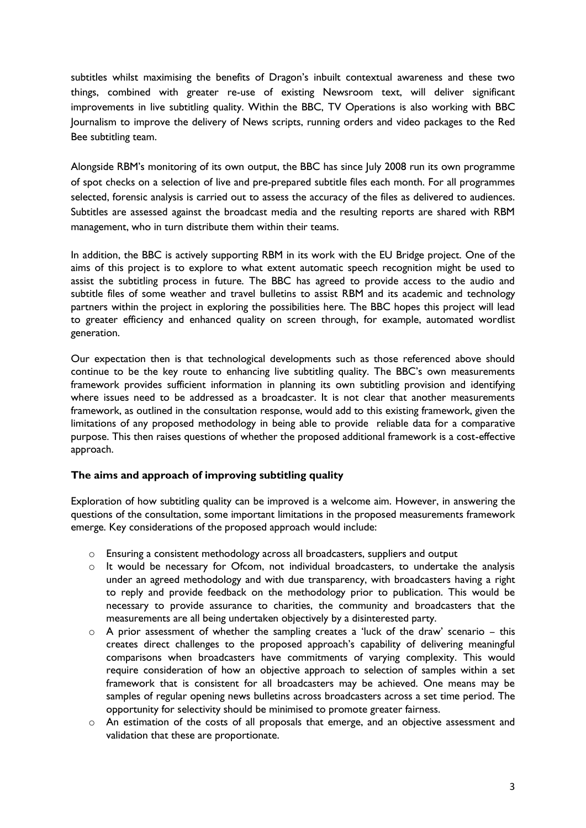subtitles whilst maximising the benefits of Dragon's inbuilt contextual awareness and these two things, combined with greater re-use of existing Newsroom text, will deliver significant improvements in live subtitling quality. Within the BBC, TV Operations is also working with BBC Journalism to improve the delivery of News scripts, running orders and video packages to the Red Bee subtitling team.

Alongside RBM's monitoring of its own output, the BBC has since July 2008 run its own programme of spot checks on a selection of live and pre-prepared subtitle files each month. For all programmes selected, forensic analysis is carried out to assess the accuracy of the files as delivered to audiences. Subtitles are assessed against the broadcast media and the resulting reports are shared with RBM management, who in turn distribute them within their teams.

In addition, the BBC is actively supporting RBM in its work with the EU Bridge project. One of the aims of this project is to explore to what extent automatic speech recognition might be used to assist the subtitling process in future. The BBC has agreed to provide access to the audio and subtitle files of some weather and travel bulletins to assist RBM and its academic and technology partners within the project in exploring the possibilities here. The BBC hopes this project will lead to greater efficiency and enhanced quality on screen through, for example, automated wordlist generation.

Our expectation then is that technological developments such as those referenced above should continue to be the key route to enhancing live subtitling quality. The BBC's own measurements framework provides sufficient information in planning its own subtitling provision and identifying where issues need to be addressed as a broadcaster. It is not clear that another measurements framework, as outlined in the consultation response, would add to this existing framework, given the limitations of any proposed methodology in being able to provide reliable data for a comparative purpose. This then raises questions of whether the proposed additional framework is a cost-effective approach.

# **The aims and approach of improving subtitling quality**

Exploration of how subtitling quality can be improved is a welcome aim. However, in answering the questions of the consultation, some important limitations in the proposed measurements framework emerge. Key considerations of the proposed approach would include:

- o Ensuring a consistent methodology across all broadcasters, suppliers and output
- $\circ$  It would be necessary for Ofcom, not individual broadcasters, to undertake the analysis under an agreed methodology and with due transparency, with broadcasters having a right to reply and provide feedback on the methodology prior to publication. This would be necessary to provide assurance to charities, the community and broadcasters that the measurements are all being undertaken objectively by a disinterested party.
- $\circ$  A prior assessment of whether the sampling creates a 'luck of the draw' scenario this creates direct challenges to the proposed approach's capability of delivering meaningful comparisons when broadcasters have commitments of varying complexity. This would require consideration of how an objective approach to selection of samples within a set framework that is consistent for all broadcasters may be achieved. One means may be samples of regular opening news bulletins across broadcasters across a set time period. The opportunity for selectivity should be minimised to promote greater fairness.
- $\circ$  An estimation of the costs of all proposals that emerge, and an objective assessment and validation that these are proportionate.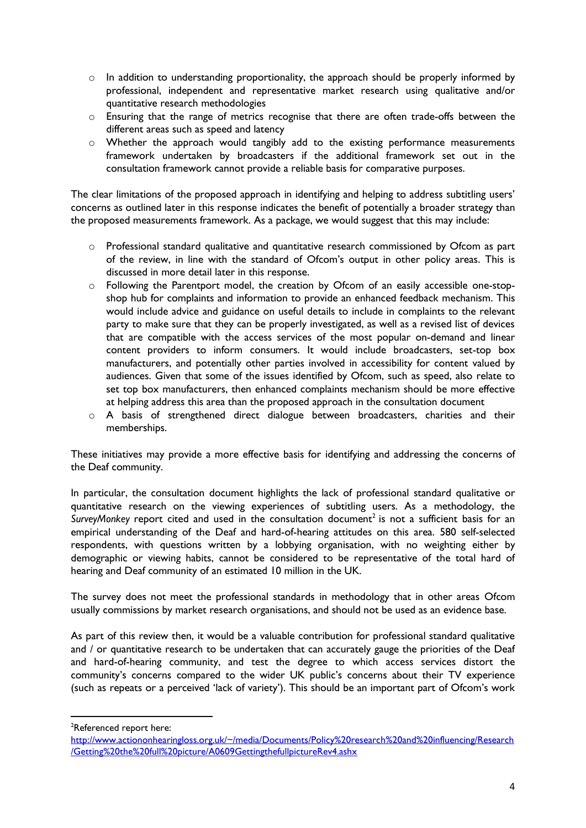- $\circ$  In addition to understanding proportionality, the approach should be properly informed by professional, independent and representative market research using qualitative and/or quantitative research methodologies
- o Ensuring that the range of metrics recognise that there are often trade-offs between the different areas such as speed and latency
- o Whether the approach would tangibly add to the existing performance measurements framework undertaken by broadcasters if the additional framework set out in the consultation framework cannot provide a reliable basis for comparative purposes.

The clear limitations of the proposed approach in identifying and helping to address subtitling users' concerns as outlined later in this response indicates the benefit of potentially a broader strategy than the proposed measurements framework. As a package, we would suggest that this may include:

- o Professional standard qualitative and quantitative research commissioned by Ofcom as part of the review, in line with the standard of Ofcom's output in other policy areas. This is discussed in more detail later in this response.
- o Following the Parentport model, the creation by Ofcom of an easily accessible one-stopshop hub for complaints and information to provide an enhanced feedback mechanism. This would include advice and guidance on useful details to include in complaints to the relevant party to make sure that they can be properly investigated, as well as a revised list of devices that are compatible with the access services of the most popular on-demand and linear content providers to inform consumers. It would include broadcasters, set-top box manufacturers, and potentially other parties involved in accessibility for content valued by audiences. Given that some of the issues identified by Ofcom, such as speed, also relate to set top box manufacturers, then enhanced complaints mechanism should be more effective at helping address this area than the proposed approach in the consultation document
- o A basis of strengthened direct dialogue between broadcasters, charities and their memberships.

These initiatives may provide a more effective basis for identifying and addressing the concerns of the Deaf community.

In particular, the consultation document highlights the lack of professional standard qualitative or quantitative research on the viewing experiences of subtitling users. As a methodology, the SurveyMonkey report cited and used in the consultation document<sup>2</sup> is not a sufficient basis for an empirical understanding of the Deaf and hard-of-hearing attitudes on this area. 580 self-selected respondents, with questions written by a lobbying organisation, with no weighting either by demographic or viewing habits, cannot be considered to be representative of the total hard of hearing and Deaf community of an estimated 10 million in the UK.

The survey does not meet the professional standards in methodology that in other areas Ofcom usually commissions by market research organisations, and should not be used as an evidence base.

As part of this review then, it would be a valuable contribution for professional standard qualitative and / or quantitative research to be undertaken that can accurately gauge the priorities of the Deaf and hard-of-hearing community, and test the degree to which access services distort the community's concerns compared to the wider UK public's concerns about their TV experience (such as repeats or a perceived 'lack of variety'). This should be an important part of Ofcom's work

<sup>2</sup>Referenced report here:

1

[http://www.actiononhearingloss.org.uk/~/media/Documents/Policy%20research%20and%20influencing/Research](http://www.actiononhearingloss.org.uk/~/media/Documents/Policy%20research%20and%20influencing/Research/Getting%20the%20full%20picture/A0609GettingthefullpictureRev4.ashx) [/Getting%20the%20full%20picture/A0609GettingthefullpictureRev4.ashx](http://www.actiononhearingloss.org.uk/~/media/Documents/Policy%20research%20and%20influencing/Research/Getting%20the%20full%20picture/A0609GettingthefullpictureRev4.ashx)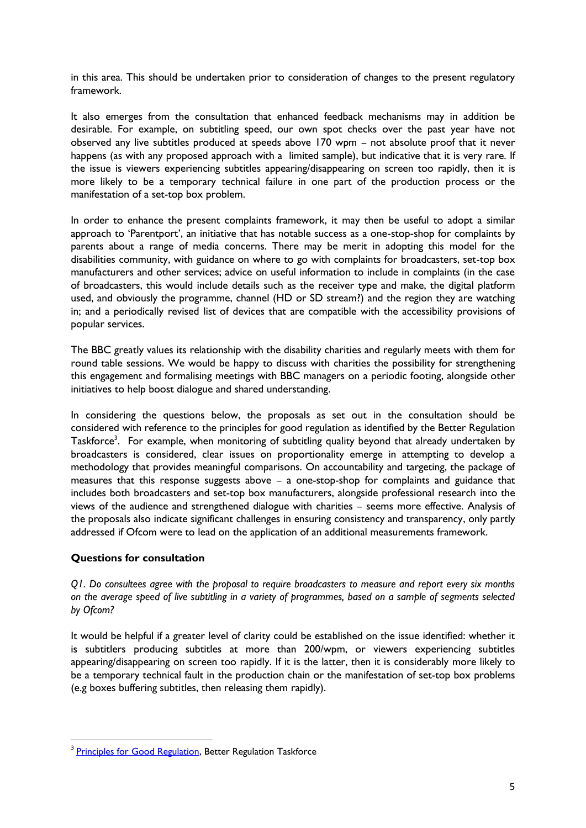in this area. This should be undertaken prior to consideration of changes to the present regulatory framework.

It also emerges from the consultation that enhanced feedback mechanisms may in addition be desirable. For example, on subtitling speed, our own spot checks over the past year have not observed any live subtitles produced at speeds above 170 wpm – not absolute proof that it never happens (as with any proposed approach with a limited sample), but indicative that it is very rare. If the issue is viewers experiencing subtitles appearing/disappearing on screen too rapidly, then it is more likely to be a temporary technical failure in one part of the production process or the manifestation of a set-top box problem.

In order to enhance the present complaints framework, it may then be useful to adopt a similar approach to 'Parentport', an initiative that has notable success as a one-stop-shop for complaints by parents about a range of media concerns. There may be merit in adopting this model for the disabilities community, with guidance on where to go with complaints for broadcasters, set-top box manufacturers and other services; advice on useful information to include in complaints (in the case of broadcasters, this would include details such as the receiver type and make, the digital platform used, and obviously the programme, channel (HD or SD stream?) and the region they are watching in; and a periodically revised list of devices that are compatible with the accessibility provisions of popular services.

The BBC greatly values its relationship with the disability charities and regularly meets with them for round table sessions. We would be happy to discuss with charities the possibility for strengthening this engagement and formalising meetings with BBC managers on a periodic footing, alongside other initiatives to help boost dialogue and shared understanding.

In considering the questions below, the proposals as set out in the consultation should be considered with reference to the principles for good regulation as identified by the Better Regulation Taskforce<sup>3</sup>. For example, when monitoring of subtitling quality beyond that already undertaken by broadcasters is considered, clear issues on proportionality emerge in attempting to develop a methodology that provides meaningful comparisons. On accountability and targeting, the package of measures that this response suggests above – a one-stop-shop for complaints and guidance that includes both broadcasters and set-top box manufacturers, alongside professional research into the views of the audience and strengthened dialogue with charities – seems more effective. Analysis of the proposals also indicate significant challenges in ensuring consistency and transparency, only partly addressed if Ofcom were to lead on the application of an additional measurements framework.

# **Questions for consultation**

**.** 

*Q1. Do consultees agree with the proposal to require broadcasters to measure and report every six months on the average speed of live subtitling in a variety of programmes, based on a sample of segments selected by Ofcom?* 

It would be helpful if a greater level of clarity could be established on the issue identified: whether it is subtitlers producing subtitles at more than 200/wpm, or viewers experiencing subtitles appearing/disappearing on screen too rapidly. If it is the latter, then it is considerably more likely to be a temporary technical fault in the production chain or the manifestation of set-top box problems (e.g boxes buffering subtitles, then releasing them rapidly).

<sup>&</sup>lt;sup>3</sup> [Principles for Good Regulation,](http://webarchive.nationalarchives.gov.uk/20100407162704/http:/archive.cabinetoffice.gov.uk/brc/upload/assets/www.brc.gov.uk/principlesleaflet.pdf) Better Regulation Taskforce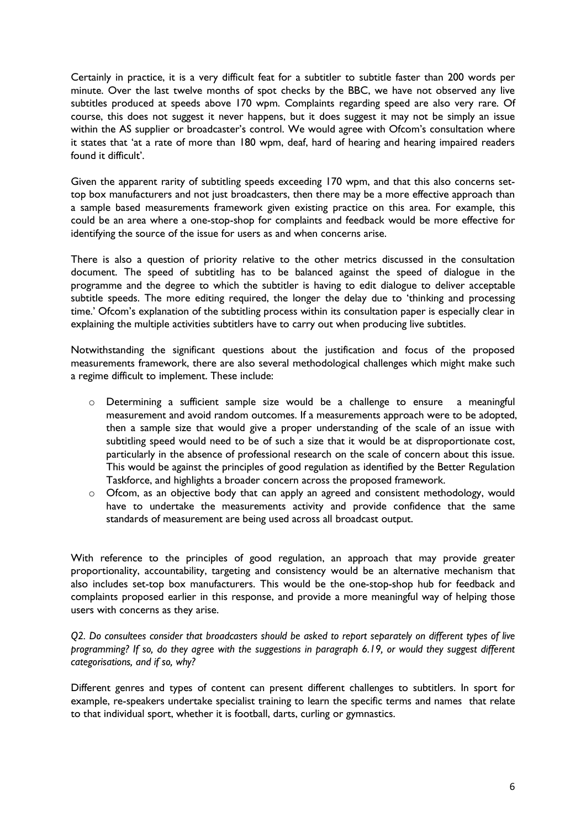Certainly in practice, it is a very difficult feat for a subtitler to subtitle faster than 200 words per minute. Over the last twelve months of spot checks by the BBC, we have not observed any live subtitles produced at speeds above 170 wpm. Complaints regarding speed are also very rare. Of course, this does not suggest it never happens, but it does suggest it may not be simply an issue within the AS supplier or broadcaster's control. We would agree with Ofcom's consultation where it states that 'at a rate of more than 180 wpm, deaf, hard of hearing and hearing impaired readers found it difficult'.

Given the apparent rarity of subtitling speeds exceeding 170 wpm, and that this also concerns settop box manufacturers and not just broadcasters, then there may be a more effective approach than a sample based measurements framework given existing practice on this area. For example, this could be an area where a one-stop-shop for complaints and feedback would be more effective for identifying the source of the issue for users as and when concerns arise.

There is also a question of priority relative to the other metrics discussed in the consultation document. The speed of subtitling has to be balanced against the speed of dialogue in the programme and the degree to which the subtitler is having to edit dialogue to deliver acceptable subtitle speeds. The more editing required, the longer the delay due to 'thinking and processing time.' Ofcom's explanation of the subtitling process within its consultation paper is especially clear in explaining the multiple activities subtitlers have to carry out when producing live subtitles.

Notwithstanding the significant questions about the justification and focus of the proposed measurements framework, there are also several methodological challenges which might make such a regime difficult to implement. These include:

- o Determining a sufficient sample size would be a challenge to ensure a meaningful measurement and avoid random outcomes. If a measurements approach were to be adopted, then a sample size that would give a proper understanding of the scale of an issue with subtitling speed would need to be of such a size that it would be at disproportionate cost, particularly in the absence of professional research on the scale of concern about this issue. This would be against the principles of good regulation as identified by the Better Regulation Taskforce, and highlights a broader concern across the proposed framework.
- o Ofcom, as an objective body that can apply an agreed and consistent methodology, would have to undertake the measurements activity and provide confidence that the same standards of measurement are being used across all broadcast output.

With reference to the principles of good regulation, an approach that may provide greater proportionality, accountability, targeting and consistency would be an alternative mechanism that also includes set-top box manufacturers. This would be the one-stop-shop hub for feedback and complaints proposed earlier in this response, and provide a more meaningful way of helping those users with concerns as they arise.

*Q2. Do consultees consider that broadcasters should be asked to report separately on different types of live programming? If so, do they agree with the suggestions in paragraph 6.19, or would they suggest different categorisations, and if so, why?*

Different genres and types of content can present different challenges to subtitlers. In sport for example, re-speakers undertake specialist training to learn the specific terms and names that relate to that individual sport, whether it is football, darts, curling or gymnastics.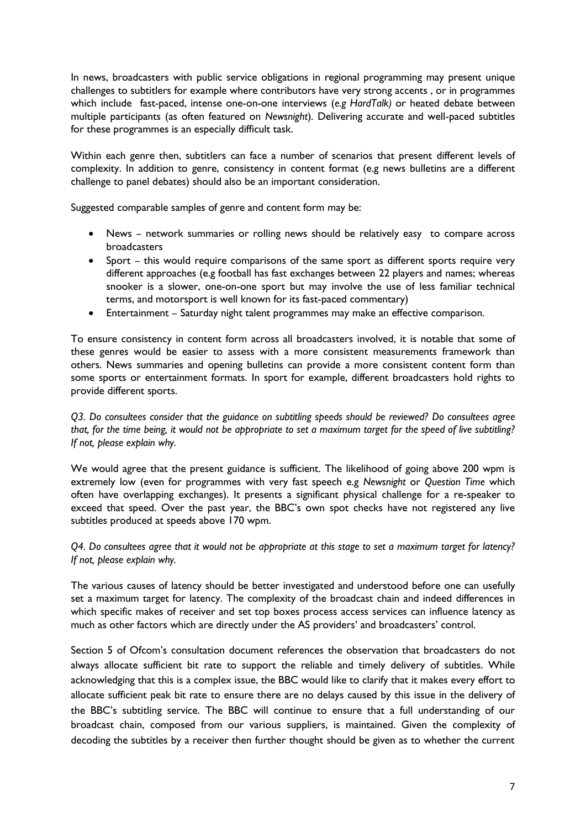In news, broadcasters with public service obligations in regional programming may present unique challenges to subtitlers for example where contributors have very strong accents , or in programmes which include fast-paced, intense one-on-one interviews (*e.g HardTalk)* or heated debate between multiple participants (as often featured on *Newsnight*). Delivering accurate and well-paced subtitles for these programmes is an especially difficult task.

Within each genre then, subtitlers can face a number of scenarios that present different levels of complexity. In addition to genre, consistency in content format (e.g news bulletins are a different challenge to panel debates) should also be an important consideration.

Suggested comparable samples of genre and content form may be:

- News network summaries or rolling news should be relatively easy to compare across broadcasters
- Sport this would require comparisons of the same sport as different sports require very different approaches (e.g football has fast exchanges between 22 players and names; whereas snooker is a slower, one-on-one sport but may involve the use of less familiar technical terms, and motorsport is well known for its fast-paced commentary)
- Entertainment Saturday night talent programmes may make an effective comparison.

To ensure consistency in content form across all broadcasters involved, it is notable that some of these genres would be easier to assess with a more consistent measurements framework than others. News summaries and opening bulletins can provide a more consistent content form than some sports or entertainment formats. In sport for example, different broadcasters hold rights to provide different sports.

*Q3. Do consultees consider that the guidance on subtitling speeds should be reviewed? Do consultees agree that, for the time being, it would not be appropriate to set a maximum target for the speed of live subtitling? If not, please explain why.*

We would agree that the present guidance is sufficient. The likelihood of going above 200 wpm is extremely low (even for programmes with very fast speech e.g *Newsnight* or *Question Time* which often have overlapping exchanges). It presents a significant physical challenge for a re-speaker to exceed that speed. Over the past year, the BBC's own spot checks have not registered any live subtitles produced at speeds above 170 wpm.

*Q4. Do consultees agree that it would not be appropriate at this stage to set a maximum target for latency? If not, please explain why.*

The various causes of latency should be better investigated and understood before one can usefully set a maximum target for latency. The complexity of the broadcast chain and indeed differences in which specific makes of receiver and set top boxes process access services can influence latency as much as other factors which are directly under the AS providers' and broadcasters' control.

Section 5 of Ofcom's consultation document references the observation that broadcasters do not always allocate sufficient bit rate to support the reliable and timely delivery of subtitles. While acknowledging that this is a complex issue, the BBC would like to clarify that it makes every effort to allocate sufficient peak bit rate to ensure there are no delays caused by this issue in the delivery of the BBC's subtitling service. The BBC will continue to ensure that a full understanding of our broadcast chain, composed from our various suppliers, is maintained. Given the complexity of decoding the subtitles by a receiver then further thought should be given as to whether the current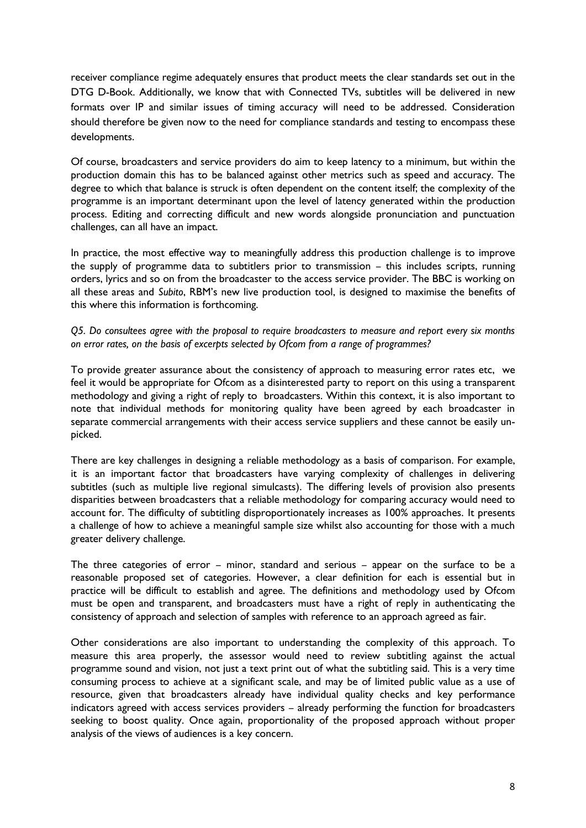receiver compliance regime adequately ensures that product meets the clear standards set out in the DTG D-Book. Additionally, we know that with Connected TVs, subtitles will be delivered in new formats over IP and similar issues of timing accuracy will need to be addressed. Consideration should therefore be given now to the need for compliance standards and testing to encompass these developments.

Of course, broadcasters and service providers do aim to keep latency to a minimum, but within the production domain this has to be balanced against other metrics such as speed and accuracy. The degree to which that balance is struck is often dependent on the content itself; the complexity of the programme is an important determinant upon the level of latency generated within the production process. Editing and correcting difficult and new words alongside pronunciation and punctuation challenges, can all have an impact.

In practice, the most effective way to meaningfully address this production challenge is to improve the supply of programme data to subtitlers prior to transmission – this includes scripts, running orders, lyrics and so on from the broadcaster to the access service provider. The BBC is working on all these areas and *Subito*, RBM's new live production tool, is designed to maximise the benefits of this where this information is forthcoming.

*Q5. Do consultees agree with the proposal to require broadcasters to measure and report every six months on error rates, on the basis of excerpts selected by Ofcom from a range of programmes?*

To provide greater assurance about the consistency of approach to measuring error rates etc, we feel it would be appropriate for Ofcom as a disinterested party to report on this using a transparent methodology and giving a right of reply to broadcasters. Within this context, it is also important to note that individual methods for monitoring quality have been agreed by each broadcaster in separate commercial arrangements with their access service suppliers and these cannot be easily unpicked.

There are key challenges in designing a reliable methodology as a basis of comparison. For example, it is an important factor that broadcasters have varying complexity of challenges in delivering subtitles (such as multiple live regional simulcasts). The differing levels of provision also presents disparities between broadcasters that a reliable methodology for comparing accuracy would need to account for. The difficulty of subtitling disproportionately increases as 100% approaches. It presents a challenge of how to achieve a meaningful sample size whilst also accounting for those with a much greater delivery challenge.

The three categories of error – minor, standard and serious – appear on the surface to be a reasonable proposed set of categories. However, a clear definition for each is essential but in practice will be difficult to establish and agree. The definitions and methodology used by Ofcom must be open and transparent, and broadcasters must have a right of reply in authenticating the consistency of approach and selection of samples with reference to an approach agreed as fair.

Other considerations are also important to understanding the complexity of this approach. To measure this area properly, the assessor would need to review subtitling against the actual programme sound and vision, not just a text print out of what the subtitling said. This is a very time consuming process to achieve at a significant scale, and may be of limited public value as a use of resource, given that broadcasters already have individual quality checks and key performance indicators agreed with access services providers – already performing the function for broadcasters seeking to boost quality. Once again, proportionality of the proposed approach without proper analysis of the views of audiences is a key concern.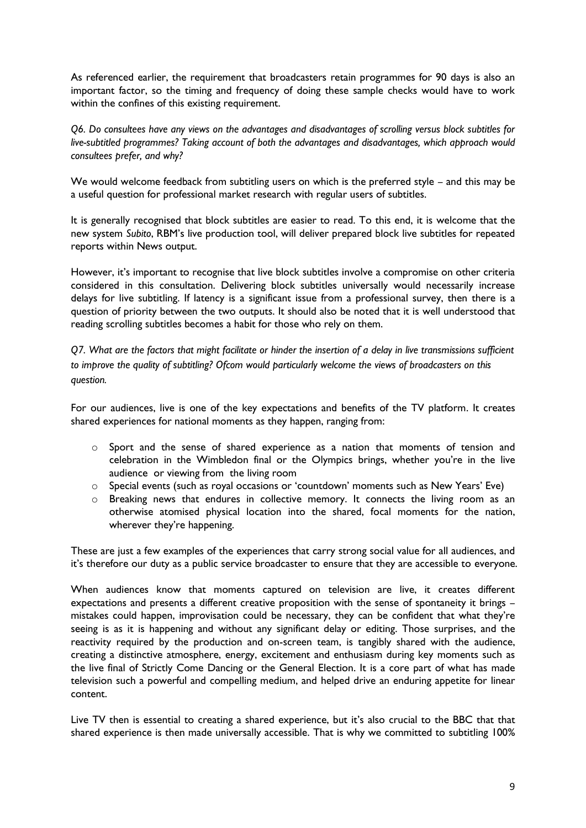As referenced earlier, the requirement that broadcasters retain programmes for 90 days is also an important factor, so the timing and frequency of doing these sample checks would have to work within the confines of this existing requirement.

*Q6. Do consultees have any views on the advantages and disadvantages of scrolling versus block subtitles for live-subtitled programmes? Taking account of both the advantages and disadvantages, which approach would consultees prefer, and why?* 

We would welcome feedback from subtitling users on which is the preferred style – and this may be a useful question for professional market research with regular users of subtitles.

It is generally recognised that block subtitles are easier to read. To this end, it is welcome that the new system *Subito*, RBM's live production tool, will deliver prepared block live subtitles for repeated reports within News output.

However, it's important to recognise that live block subtitles involve a compromise on other criteria considered in this consultation. Delivering block subtitles universally would necessarily increase delays for live subtitling. If latency is a significant issue from a professional survey, then there is a question of priority between the two outputs. It should also be noted that it is well understood that reading scrolling subtitles becomes a habit for those who rely on them.

*Q7. What are the factors that might facilitate or hinder the insertion of a delay in live transmissions sufficient to improve the quality of subtitling? Ofcom would particularly welcome the views of broadcasters on this question.*

For our audiences, live is one of the key expectations and benefits of the TV platform. It creates shared experiences for national moments as they happen, ranging from:

- $\circ$  Sport and the sense of shared experience as a nation that moments of tension and celebration in the Wimbledon final or the Olympics brings, whether you're in the live audience or viewing from the living room
- o Special events (such as royal occasions or 'countdown' moments such as New Years' Eve)
- o Breaking news that endures in collective memory. It connects the living room as an otherwise atomised physical location into the shared, focal moments for the nation, wherever they're happening.

These are just a few examples of the experiences that carry strong social value for all audiences, and it's therefore our duty as a public service broadcaster to ensure that they are accessible to everyone.

When audiences know that moments captured on television are live, it creates different expectations and presents a different creative proposition with the sense of spontaneity it brings – mistakes could happen, improvisation could be necessary, they can be confident that what they're seeing is as it is happening and without any significant delay or editing. Those surprises, and the reactivity required by the production and on-screen team, is tangibly shared with the audience, creating a distinctive atmosphere, energy, excitement and enthusiasm during key moments such as the live final of Strictly Come Dancing or the General Election. It is a core part of what has made television such a powerful and compelling medium, and helped drive an enduring appetite for linear content.

Live TV then is essential to creating a shared experience, but it's also crucial to the BBC that that shared experience is then made universally accessible. That is why we committed to subtitling 100%